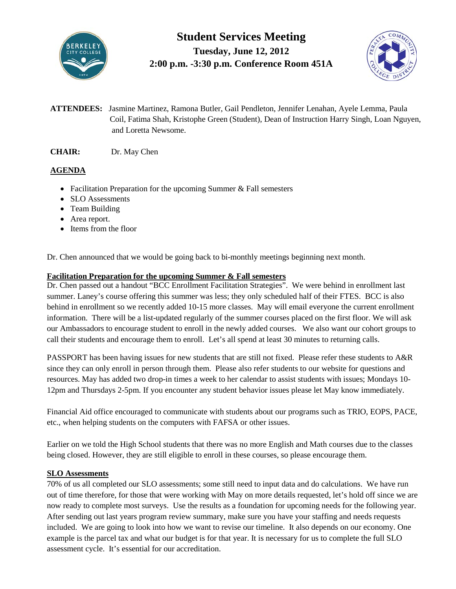

# **Student Services Meeting Tuesday, June 12, 2012 2:00 p.m. -3:30 p.m. Conference Room 451A**



- **ATTENDEES:** Jasmine Martinez, Ramona Butler, Gail Pendleton, Jennifer Lenahan, Ayele Lemma, Paula Coil, Fatima Shah, Kristophe Green (Student), Dean of Instruction Harry Singh, Loan Nguyen, and Loretta Newsome.
- **CHAIR:** Dr. May Chen

# **AGENDA**

- Facilitation Preparation for the upcoming Summer & Fall semesters
- SLO Assessments
- Team Building
- Area report.
- Items from the floor

Dr. Chen announced that we would be going back to bi-monthly meetings beginning next month.

## **Facilitation Preparation for the upcoming Summer & Fall semesters**

Dr. Chen passed out a handout "BCC Enrollment Facilitation Strategies". We were behind in enrollment last summer. Laney's course offering this summer was less; they only scheduled half of their FTES. BCC is also behind in enrollment so we recently added 10-15 more classes. May will email everyone the current enrollment information. There will be a list-updated regularly of the summer courses placed on the first floor. We will ask our Ambassadors to encourage student to enroll in the newly added courses. We also want our cohort groups to call their students and encourage them to enroll. Let's all spend at least 30 minutes to returning calls.

PASSPORT has been having issues for new students that are still not fixed. Please refer these students to A&R since they can only enroll in person through them. Please also refer students to our website for questions and resources. May has added two drop-in times a week to her calendar to assist students with issues; Mondays 10- 12pm and Thursdays 2-5pm. If you encounter any student behavior issues please let May know immediately.

Financial Aid office encouraged to communicate with students about our programs such as TRIO, EOPS, PACE, etc., when helping students on the computers with FAFSA or other issues.

Earlier on we told the High School students that there was no more English and Math courses due to the classes being closed. However, they are still eligible to enroll in these courses, so please encourage them.

## **SLO Assessments**

70% of us all completed our SLO assessments; some still need to input data and do calculations. We have run out of time therefore, for those that were working with May on more details requested, let's hold off since we are now ready to complete most surveys. Use the results as a foundation for upcoming needs for the following year. After sending out last years program review summary, make sure you have your staffing and needs requests included. We are going to look into how we want to revise our timeline. It also depends on our economy. One example is the parcel tax and what our budget is for that year. It is necessary for us to complete the full SLO assessment cycle. It's essential for our accreditation.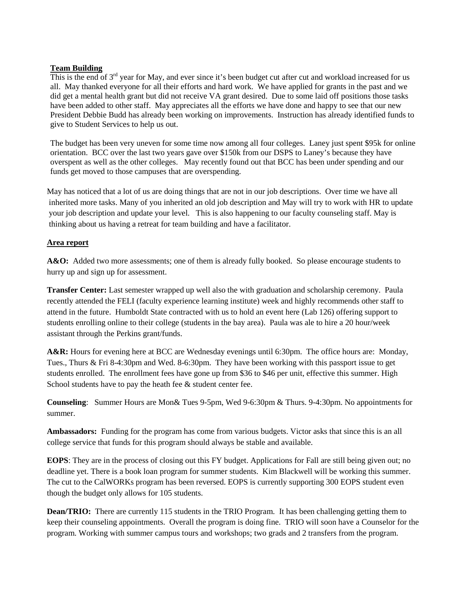#### **Team Building**

This is the end of 3<sup>rd</sup> year for May, and ever since it's been budget cut after cut and workload increased for us all. May thanked everyone for all their efforts and hard work. We have applied for grants in the past and we did get a mental health grant but did not receive VA grant desired. Due to some laid off positions those tasks have been added to other staff. May appreciates all the efforts we have done and happy to see that our new President Debbie Budd has already been working on improvements. Instruction has already identified funds to give to Student Services to help us out.

The budget has been very uneven for some time now among all four colleges. Laney just spent \$95k for online orientation. BCC over the last two years gave over \$150k from our DSPS to Laney's because they have overspent as well as the other colleges. May recently found out that BCC has been under spending and our funds get moved to those campuses that are overspending.

May has noticed that a lot of us are doing things that are not in our job descriptions. Over time we have all inherited more tasks. Many of you inherited an old job description and May will try to work with HR to update your job description and update your level. This is also happening to our faculty counseling staff. May is thinking about us having a retreat for team building and have a facilitator.

#### **Area report**

A&O: Added two more assessments; one of them is already fully booked. So please encourage students to hurry up and sign up for assessment.

**Transfer Center:** Last semester wrapped up well also the with graduation and scholarship ceremony. Paula recently attended the FELI (faculty experience learning institute) week and highly recommends other staff to attend in the future. Humboldt State contracted with us to hold an event here (Lab 126) offering support to students enrolling online to their college (students in the bay area). Paula was ale to hire a 20 hour/week assistant through the Perkins grant/funds.

**A&R:** Hours for evening here at BCC are Wednesday evenings until 6:30pm. The office hours are: Monday, Tues., Thurs & Fri 8-4:30pm and Wed. 8-6:30pm. They have been working with this passport issue to get students enrolled. The enrollment fees have gone up from \$36 to \$46 per unit, effective this summer. High School students have to pay the heath fee & student center fee.

**Counseling**: Summer Hours are Mon& Tues 9-5pm, Wed 9-6:30pm & Thurs. 9-4:30pm. No appointments for summer.

**Ambassadors:** Funding for the program has come from various budgets. Victor asks that since this is an all college service that funds for this program should always be stable and available.

**EOPS**: They are in the process of closing out this FY budget. Applications for Fall are still being given out; no deadline yet. There is a book loan program for summer students. Kim Blackwell will be working this summer. The cut to the CalWORKs program has been reversed. EOPS is currently supporting 300 EOPS student even though the budget only allows for 105 students.

**Dean/TRIO:** There are currently 115 students in the TRIO Program. It has been challenging getting them to keep their counseling appointments. Overall the program is doing fine. TRIO will soon have a Counselor for the program. Working with summer campus tours and workshops; two grads and 2 transfers from the program.